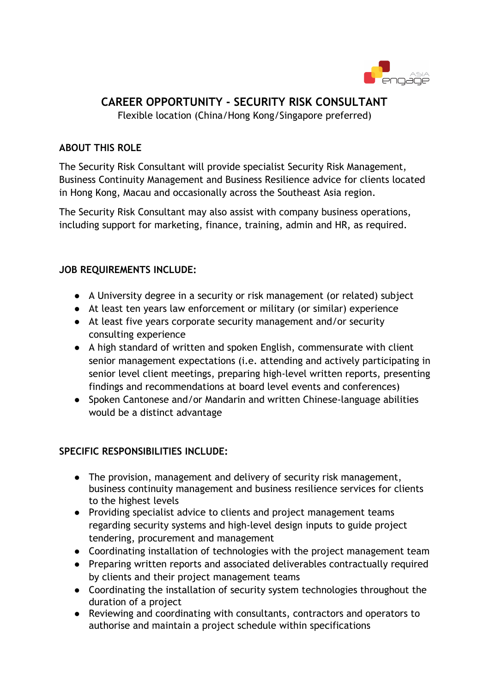

# **CAREER OPPORTUNITY - SECURITY RISK CONSULTANT**

Flexible location (China/Hong Kong/Singapore preferred)

#### **ABOUT THIS ROLE**

The Security Risk Consultant will provide specialist Security Risk Management, Business Continuity Management and Business Resilience advice for clients located in Hong Kong, Macau and occasionally across the Southeast Asia region.

The Security Risk Consultant may also assist with company business operations, including support for marketing, finance, training, admin and HR, as required.

## **JOB REQUIREMENTS INCLUDE:**

- A University degree in a security or risk management (or related) subject
- At least ten years law enforcement or military (or similar) experience
- At least five years corporate security management and/or security consulting experience
- A high standard of written and spoken English, commensurate with client senior management expectations (i.e. attending and actively participating in senior level client meetings, preparing high-level written reports, presenting findings and recommendations at board level events and conferences)
- Spoken Cantonese and/or Mandarin and written Chinese-language abilities would be a distinct advantage

## **SPECIFIC RESPONSIBILITIES INCLUDE:**

- The provision, management and delivery of security risk management, business continuity management and business resilience services for clients to the highest levels
- Providing specialist advice to clients and project management teams regarding security systems and high-level design inputs to guide project tendering, procurement and management
- Coordinating installation of technologies with the project management team
- Preparing written reports and associated deliverables contractually required by clients and their project management teams
- Coordinating the installation of security system technologies throughout the duration of a project
- Reviewing and coordinating with consultants, contractors and operators to authorise and maintain a project schedule within specifications